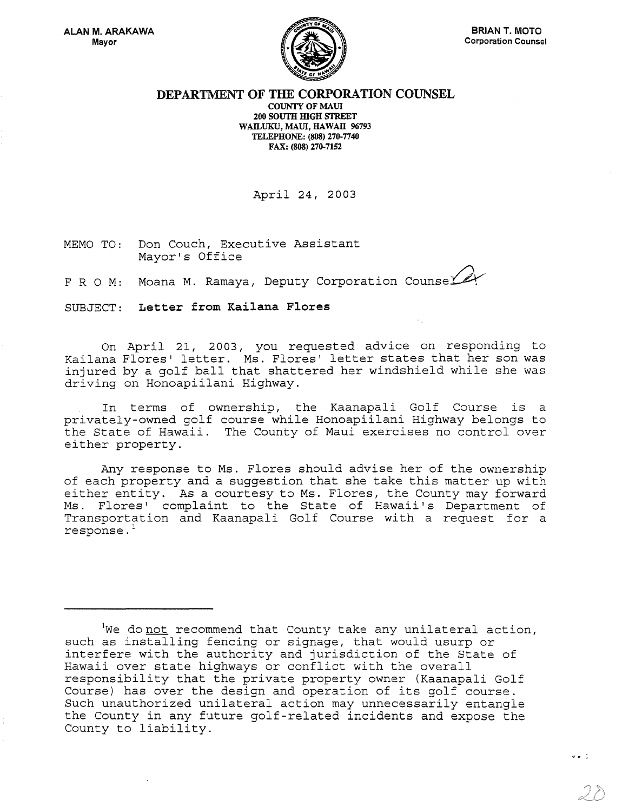

## DEPARTMENT OF THE CORPORATION COUNSEL COUNTY OF MAUl 200 SOUTH HIGH STREET WAILUKU, MAUl, HAWAll 96793

TELEPHONE: (808) 276-7740 FAX: (808) 276-7152

April 24, 2003

MEMO TO: Don Couch, Executive Assistant Mayor's Office

F R O M: Moana M. Ramaya, Deputy Corporation Counse

SUBJECT: Letter from Kailana Flores

On April 21, 2003, you requested advice on responding to Kailana Flores' letter. Ms. Flores' letter states that her son was injured by a golf ball that shattered her windshield while she was driving on Honoapiilani Highway.

In terms of ownership, the Kaanapali Golf Course is a privately-owned golf course while Honoapiilani Highway belongs to the State of Hawaii. The County of Maui exercises no control over either property.

Any response to Ms. Flores should advise her of the ownership of each property and a suggestion that she take this matter up with either entity. As a courtesy to Ms. Flores, the County may forward Ms. Flores' complaint to the State of Hawaii's Department of Transportation and Kaanapali Golf Course with a request for a response. -

 $I$ We donot recommend that County take any unilateral action, such as installing fencing or signage, that would usurp or interfere with the authority and jurisdiction of the State of Hawaii over state highways or conflict with the overall responsibility that the private property owner (Kaanapali Golf Course) has over the design and operation of its golf course. Such unauthorized unilateral action may unnecessarily entangle the County in any future golf-related incidents and expose the County to liability.